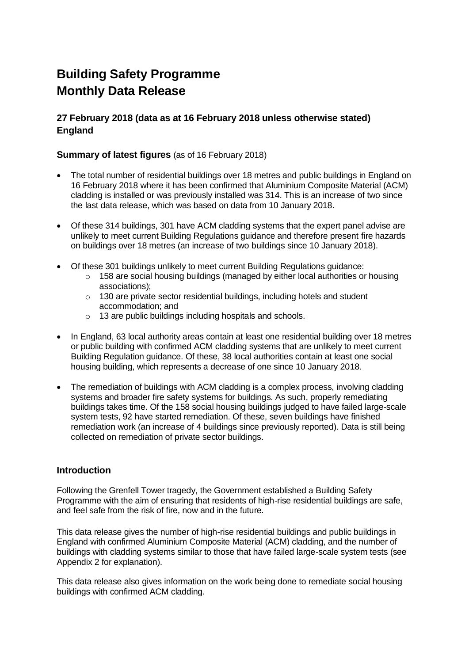# **Building Safety Programme Monthly Data Release**

# **27 February 2018 (data as at 16 February 2018 unless otherwise stated) England**

## **Summary of latest figures** (as of 16 February 2018)

- The total number of residential buildings over 18 metres and public buildings in England on 16 February 2018 where it has been confirmed that Aluminium Composite Material (ACM) cladding is installed or was previously installed was 314. This is an increase of two since the last data release, which was based on data from 10 January 2018.
- Of these 314 buildings, 301 have ACM cladding systems that the expert panel advise are unlikely to meet current Building Regulations guidance and therefore present fire hazards on buildings over 18 metres (an increase of two buildings since 10 January 2018).
- Of these 301 buildings unlikely to meet current Building Regulations guidance:
	- $\circ$  158 are social housing buildings (managed by either local authorities or housing associations);
	- o 130 are private sector residential buildings, including hotels and student accommodation; and
	- o 13 are public buildings including hospitals and schools.
- In England, 63 local authority areas contain at least one residential building over 18 metres or public building with confirmed ACM cladding systems that are unlikely to meet current Building Regulation guidance. Of these, 38 local authorities contain at least one social housing building, which represents a decrease of one since 10 January 2018.
- The remediation of buildings with ACM cladding is a complex process, involving cladding systems and broader fire safety systems for buildings. As such, properly remediating buildings takes time. Of the 158 social housing buildings judged to have failed large-scale system tests, 92 have started remediation. Of these, seven buildings have finished remediation work (an increase of 4 buildings since previously reported). Data is still being collected on remediation of private sector buildings.

# **Introduction**

Following the Grenfell Tower tragedy, the Government established a Building Safety Programme with the aim of ensuring that residents of high-rise residential buildings are safe, and feel safe from the risk of fire, now and in the future.

This data release gives the number of high-rise residential buildings and public buildings in England with confirmed Aluminium Composite Material (ACM) cladding, and the number of buildings with cladding systems similar to those that have failed large-scale system tests (see Appendix 2 for explanation).

This data release also gives information on the work being done to remediate social housing buildings with confirmed ACM cladding.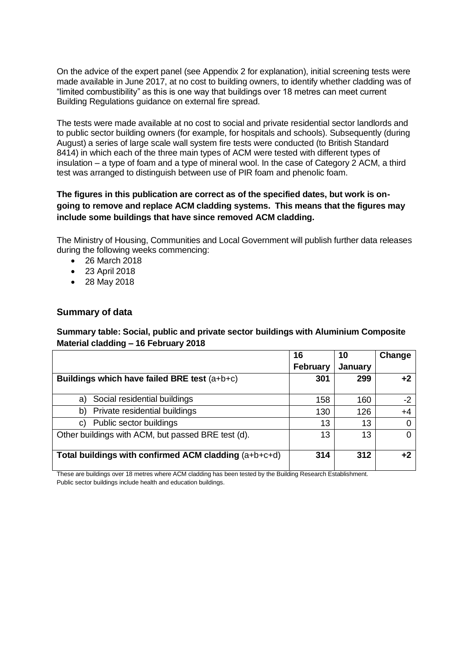On the advice of the expert panel (see Appendix 2 for explanation), initial screening tests were made available in June 2017, at no cost to building owners, to identify whether cladding was of "limited combustibility" as this is one way that buildings over 18 metres can meet current Building Regulations guidance on external fire spread.

The tests were made available at no cost to social and private residential sector landlords and to public sector building owners (for example, for hospitals and schools). Subsequently (during August) a series of large scale wall system fire tests were conducted (to British Standard 8414) in which each of the three main types of ACM were tested with different types of insulation – a type of foam and a type of mineral wool. In the case of Category 2 ACM, a third test was arranged to distinguish between use of PIR foam and phenolic foam.

## **The figures in this publication are correct as of the specified dates, but work is ongoing to remove and replace ACM cladding systems. This means that the figures may include some buildings that have since removed ACM cladding.**

The Ministry of Housing, Communities and Local Government will publish further data releases during the following weeks commencing:

- 26 March 2018
- 23 April 2018
- 28 May 2018

#### **Summary of data**

**Summary table: Social, public and private sector buildings with Aluminium Composite Material cladding – 16 February 2018**

|                                                       | 16              | 10      | Change |
|-------------------------------------------------------|-----------------|---------|--------|
|                                                       | <b>February</b> | January |        |
| Buildings which have failed BRE test (a+b+c)          | 301             | 299     | $+2$   |
| Social residential buildings<br>a)                    | 158             | 160     | $-2$   |
| Private residential buildings<br>b)                   | 130             | 126     | +4     |
| Public sector buildings<br>C)                         | 13              | 13      |        |
| Other buildings with ACM, but passed BRE test (d).    | 13              | 13      | 0      |
| Total buildings with confirmed ACM cladding (a+b+c+d) | 314             | 312     | ⊥2     |

These are buildings over 18 metres where ACM cladding has been tested by the Building Research Establishment. Public sector buildings include health and education buildings.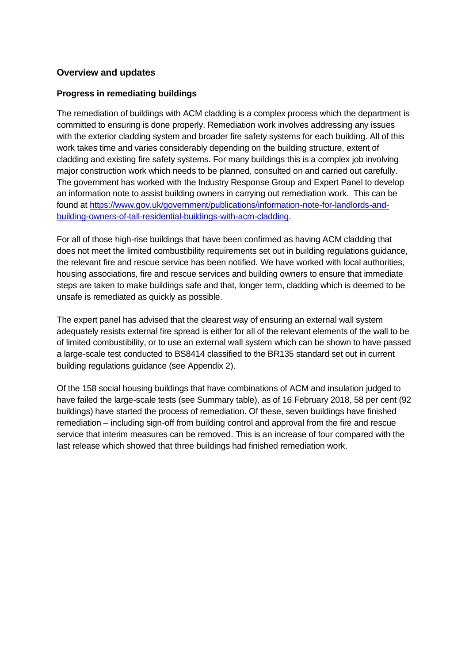# **Overview and updates**

## **Progress in remediating buildings**

The remediation of buildings with ACM cladding is a complex process which the department is committed to ensuring is done properly. Remediation work involves addressing any issues with the exterior cladding system and broader fire safety systems for each building. All of this work takes time and varies considerably depending on the building structure, extent of cladding and existing fire safety systems. For many buildings this is a complex job involving major construction work which needs to be planned, consulted on and carried out carefully. The government has worked with the Industry Response Group and Expert Panel to develop an information note to assist building owners in carrying out remediation work. This can be found at https://www.gov.uk/government/publications/information-note-for-landlords-andbuilding-owners-of-tall-residential-buildings-with-acm-cladding.

For all of those high-rise buildings that have been confirmed as having ACM cladding that does not meet the limited combustibility requirements set out in building regulations guidance, the relevant fire and rescue service has been notified. We have worked with local authorities, housing associations, fire and rescue services and building owners to ensure that immediate steps are taken to make buildings safe and that, longer term, cladding which is deemed to be unsafe is remediated as quickly as possible.

The expert panel has advised that the clearest way of ensuring an external wall system adequately resists external fire spread is either for all of the relevant elements of the wall to be of limited combustibility, or to use an external wall system which can be shown to have passed a large-scale test conducted to BS8414 classified to the BR135 standard set out in current building regulations guidance (see Appendix 2).

Of the 158 social housing buildings that have combinations of ACM and insulation judged to have failed the large-scale tests (see Summary table), as of 16 February 2018, 58 per cent (92 buildings) have started the process of remediation. Of these, seven buildings have finished remediation – including sign-off from building control and approval from the fire and rescue service that interim measures can be removed. This is an increase of four compared with the last release which showed that three buildings had finished remediation work.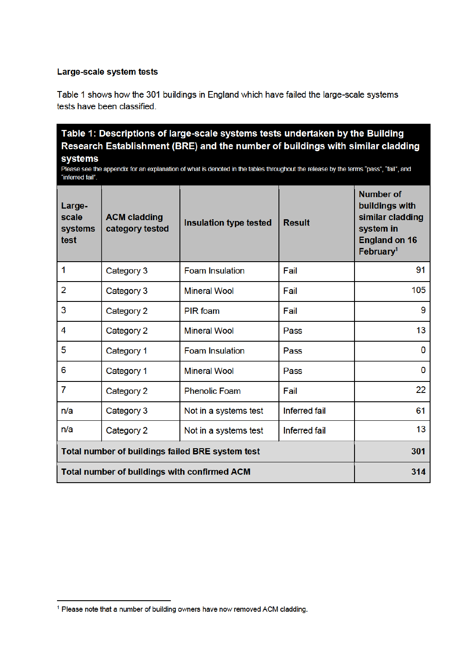#### Large-scale system tests

Table 1 shows how the 301 buildings in England which have failed the large-scale systems tests have been classified.

# Table 1: Descriptions of large-scale systems tests undertaken by the Building Research Establishment (BRE) and the number of buildings with similar cladding

systems

Please see the appendix for an explanation of what is denoted in the tables throughout the release by the terms "pass", "fail", and "inferred fail".

| Large-<br>scale<br>systems<br>test               | <b>ACM cladding</b><br>category tested | <b>Insulation type tested</b> | <b>Result</b>        | <b>Number of</b><br>buildings with<br>similar cladding<br>system in<br><b>England on 16</b><br>February <sup>1</sup> |
|--------------------------------------------------|----------------------------------------|-------------------------------|----------------------|----------------------------------------------------------------------------------------------------------------------|
| 1                                                | Category 3                             | <b>Foam Insulation</b>        | Fail                 | 91                                                                                                                   |
| 2                                                | Category 3                             | <b>Mineral Wool</b>           | Fail                 | 105                                                                                                                  |
| 3                                                | Category 2                             | PIR foam                      | Fail                 | 9                                                                                                                    |
| 4                                                | Category 2                             | <b>Mineral Wool</b>           | Pass                 | 13                                                                                                                   |
| 5                                                | Category 1                             | <b>Foam Insulation</b>        | Pass                 | 0                                                                                                                    |
| 6                                                | Category 1                             | <b>Mineral Wool</b>           | Pass                 | 0                                                                                                                    |
| 7                                                | Category 2                             | <b>Phenolic Foam</b>          | Fail                 | 22                                                                                                                   |
| n/a                                              | Category 3                             | Not in a systems test         | <b>Inferred fail</b> | 61                                                                                                                   |
| n/a                                              | Category 2                             | Not in a systems test         | <b>Inferred fail</b> | 13                                                                                                                   |
| Total number of buildings failed BRE system test |                                        |                               | 301                  |                                                                                                                      |
| Total number of buildings with confirmed ACM     |                                        |                               | 314                  |                                                                                                                      |

<sup>&</sup>lt;sup>1</sup> Please note that a number of building owners have now removed ACM cladding.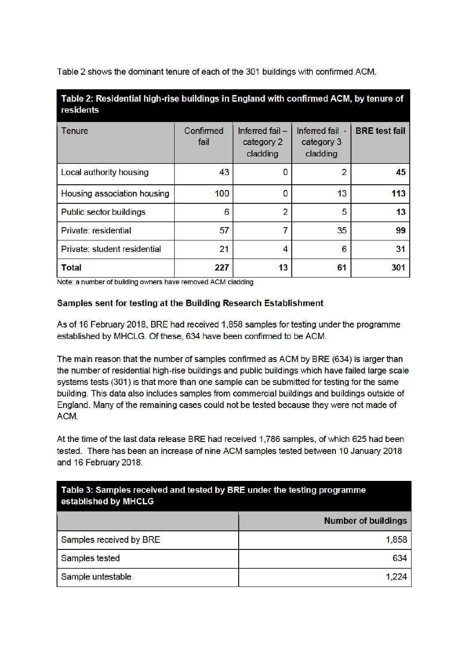Table 2 shows the dominant tenure of each of the 301 buildings with confirmed ACM.

| Table 2: Residential high-rise buildings in England with confirmed ACM, by tenure of<br>residents |                   |                                          |                                           |                      |  |
|---------------------------------------------------------------------------------------------------|-------------------|------------------------------------------|-------------------------------------------|----------------------|--|
| Tenure                                                                                            | Confirmed<br>fail | Inferred fail-<br>category 2<br>cladding | Inferred fail -<br>category 3<br>cladding | <b>BRE</b> test fail |  |
| Local authority housing                                                                           | 43                | 0                                        | 2                                         | 45                   |  |
| Housing association housing                                                                       | 100               | 0                                        | 13                                        | 113                  |  |
| Public sector buildings                                                                           | 6                 | $\overline{2}$                           | 5                                         | 13                   |  |
| Private: residential                                                                              | 57                | 7                                        | 35                                        | 99                   |  |
| Private: student residential                                                                      | 21                | 4                                        | 6                                         | 31                   |  |
| <b>Total</b>                                                                                      | 227               | 13                                       | 61                                        | 301                  |  |

Note: a number of building owners have removed ACM cladding.

Samples sent for testing at the Building Research Establishment

As of 16 February 2018, BRE had received 1,858 samples for testing under the programme established by MHCLG. Of these, 634 have been confirmed to be ACM.

The main reason that the number of samples confirmed as ACM by BRE (634) is larger than the number of residential high-rise buildings and public buildings which have failed large scale systems tests (301) is that more than one sample can be submitted for testing for the same building. This data also includes samples from commercial buildings and buildings outside of England. Many of the remaining cases could not be tested because they were not made of ACM.

At the time of the last data release BRE had received 1,786 samples, of which 625 had been tested. There has been an increase of nine ACM samples tested between 10 January 2018 and 16 February 2018.

| Table 3: Samples received and tested by BRE under the testing programme<br>established by MHCLG |                            |  |  |
|-------------------------------------------------------------------------------------------------|----------------------------|--|--|
|                                                                                                 | <b>Number of buildings</b> |  |  |
| Samples received by BRE                                                                         | 1,858                      |  |  |
| Samples tested                                                                                  | 634                        |  |  |
| Sample untestable                                                                               | 1.224                      |  |  |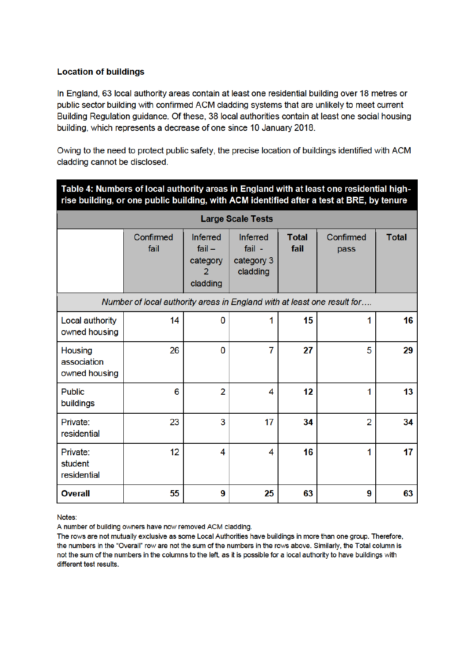## **Location of buildings**

In England, 63 local authority areas contain at least one residential building over 18 metres or public sector building with confirmed ACM cladding systems that are unlikely to meet current Building Regulation guidance. Of these, 38 local authorities contain at least one social housing building, which represents a decrease of one since 10 January 2018.

Owing to the need to protect public safety, the precise location of buildings identified with ACM cladding cannot be disclosed.

| Table 4: Numbers of local authority areas in England with at least one residential high-<br>rise building, or one public building, with ACM identified after a test at BRE, by tenure |                   |                                                          |                                                       |                      |                   |              |
|---------------------------------------------------------------------------------------------------------------------------------------------------------------------------------------|-------------------|----------------------------------------------------------|-------------------------------------------------------|----------------------|-------------------|--------------|
| <b>Large Scale Tests</b>                                                                                                                                                              |                   |                                                          |                                                       |                      |                   |              |
|                                                                                                                                                                                       | Confirmed<br>fail | <b>Inferred</b><br>$fail -$<br>category<br>2<br>cladding | <b>Inferred</b><br>$fail -$<br>category 3<br>cladding | <b>Total</b><br>fail | Confirmed<br>pass | <b>Total</b> |
| Number of local authority areas in England with at least one result for                                                                                                               |                   |                                                          |                                                       |                      |                   |              |
| Local authority<br>owned housing                                                                                                                                                      | 14                | 0                                                        | 1                                                     | 15                   |                   | 16           |
| <b>Housing</b><br>association<br>owned housing                                                                                                                                        | 26                | 0                                                        | $\overline{7}$                                        | 27                   | 5                 | 29           |
| <b>Public</b><br>buildings                                                                                                                                                            | 6                 | $\overline{2}$                                           | 4                                                     | 12                   | 1                 | 13           |
| Private:<br>residential                                                                                                                                                               | 23                | 3                                                        | 17                                                    | 34                   | $\overline{2}$    | 34           |
| Private:<br>student<br>residential                                                                                                                                                    | 12                | 4                                                        | 4                                                     | 16                   | 1                 | 17           |
| <b>Overall</b>                                                                                                                                                                        | 55                | 9                                                        | 25                                                    | 63                   | 9                 | 63           |

Notes:

A number of building owners have now removed ACM cladding.

The rows are not mutually exclusive as some Local Authorities have buildings in more than one group. Therefore, the numbers in the "Overall" row are not the sum of the numbers in the rows above. Similarly, the Total column is not the sum of the numbers in the columns to the left, as it is possible for a local authority to have buildings with different test results.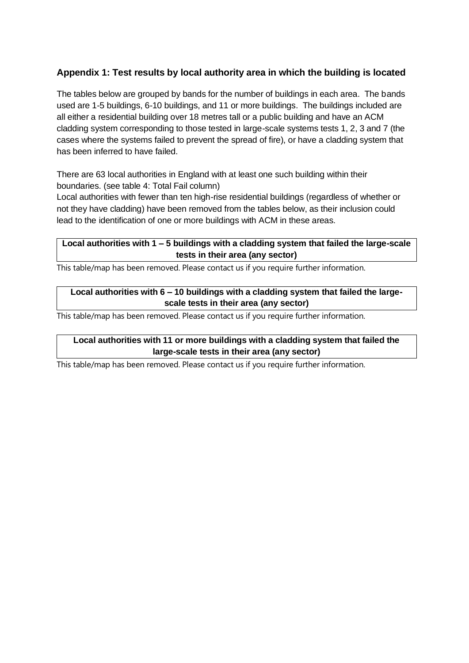# **Appendix 1: Test results by local authority area in which the building is located**

The tables below are grouped by bands for the number of buildings in each area. The bands used are 1-5 buildings, 6-10 buildings, and 11 or more buildings. The buildings included are all either a residential building over 18 metres tall or a public building and have an ACM cladding system corresponding to those tested in large-scale systems tests 1, 2, 3 and 7 (the cases where the systems failed to prevent the spread of fire), or have a cladding system that has been inferred to have failed.

There are 63 local authorities in England with at least one such building within their boundaries. (see table 4: Total Fail column)

Local authorities with fewer than ten high-rise residential buildings (regardless of whether or not they have cladding) have been removed from the tables below, as their inclusion could lead to the identification of one or more buildings with ACM in these areas.

## **Local authorities with 1 – 5 buildings with a cladding system that failed the large-scale tests in their area (any sector)**

This table/map has been removed. Please contact us if you require further information.

## **Local authorities with 6 – 10 buildings with a cladding system that failed the largescale tests in their area (any sector)**

This table/map has been removed. Please contact us if you require further information.

# **Local authorities with 11 or more buildings with a cladding system that failed the large-scale tests in their area (any sector)**

This table/map has been removed. Please contact us if you require further information.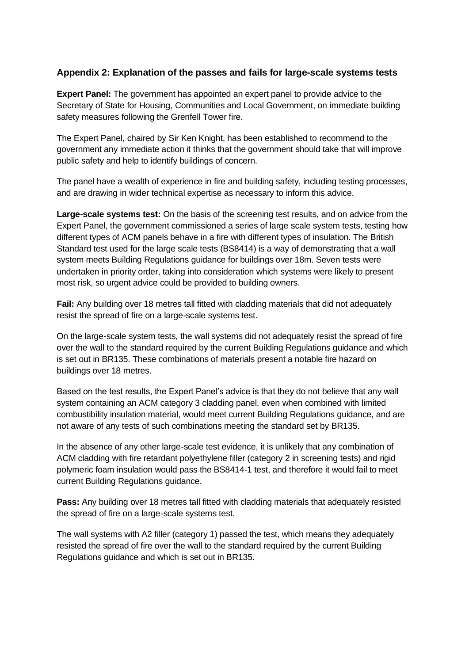# **Appendix 2: Explanation of the passes and fails for large-scale systems tests**

**Expert Panel:** The government has appointed an expert panel to provide advice to the Secretary of State for Housing, Communities and Local Government, on immediate building safety measures following the Grenfell Tower fire.

The Expert Panel, chaired by Sir Ken Knight, has been established to recommend to the government any immediate action it thinks that the government should take that will improve public safety and help to identify buildings of concern.

The panel have a wealth of experience in fire and building safety, including testing processes, and are drawing in wider technical expertise as necessary to inform this advice.

**Large-scale systems test:** On the basis of the screening test results, and on advice from the Expert Panel, the government commissioned a series of large scale system tests, testing how different types of ACM panels behave in a fire with different types of insulation. The British Standard test used for the large scale tests (BS8414) is a way of demonstrating that a wall system meets Building Regulations guidance for buildings over 18m. Seven tests were undertaken in priority order, taking into consideration which systems were likely to present most risk, so urgent advice could be provided to building owners.

**Fail:** Any building over 18 metres tall fitted with cladding materials that did not adequately resist the spread of fire on a large-scale systems test.

On the large-scale system tests, the wall systems did not adequately resist the spread of fire over the wall to the standard required by the current Building Regulations guidance and which is set out in BR135. These combinations of materials present a notable fire hazard on buildings over 18 metres.

Based on the test results, the Expert Panel's advice is that they do not believe that any wall system containing an ACM category 3 cladding panel, even when combined with limited combustibility insulation material, would meet current Building Regulations guidance, and are not aware of any tests of such combinations meeting the standard set by BR135.

In the absence of any other large-scale test evidence, it is unlikely that any combination of ACM cladding with fire retardant polyethylene filler (category 2 in screening tests) and rigid polymeric foam insulation would pass the BS8414-1 test, and therefore it would fail to meet current Building Regulations guidance.

**Pass:** Any building over 18 metres tall fitted with cladding materials that adequately resisted the spread of fire on a large-scale systems test.

The wall systems with A2 filler (category 1) passed the test, which means they adequately resisted the spread of fire over the wall to the standard required by the current Building Regulations guidance and which is set out in BR135.